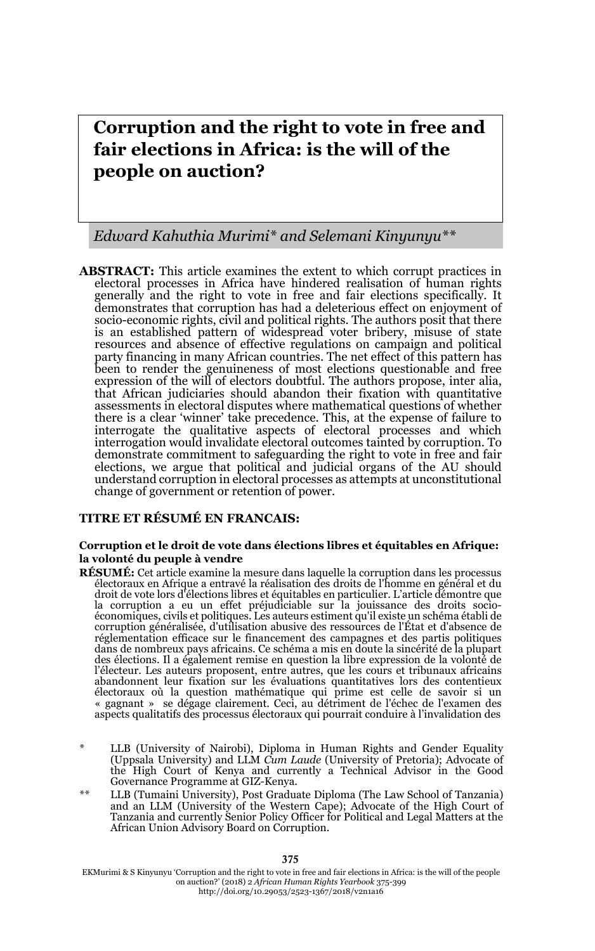# **Corruption and the right to vote in free and fair elections in Africa: is the will of the people on auction?**

#### *Edward Kahuthia Murimi\* and Selemani Kinyunyu\*\**

**ABSTRACT:** This article examines the extent to which corrupt practices in electoral processes in Africa have hindered realisation of human rights generally and the right to vote in free and fair elections specifically. It demonstrates that corruption has had a deleterious effect on enjoyment of socio-economic rights, civil and political rights. The authors posit that there is an established pattern of widespread voter bribery, misuse of state resources and absence of effective regulations on campaign and political party financing in many African countries. The net effect of this pattern has been to render the genuineness of most elections questionable and free expression of the will of electors doubtful. The authors propose, inter alia, that African judiciaries should abandon their fixation with quantitative assessments in electoral disputes where mathematical questions of whether there is a clear 'winner' take precedence. This, at the expense of failure to interrogate the qualitative aspects of electoral processes and which interrogation would invalidate electoral outcomes tainted by corruption. To demonstrate commitment to safeguarding the right to vote in free and fair elections, we argue that political and judicial organs of the AU should understand corruption in electoral processes as attempts at unconstitutional change of government or retention of power.

#### **TITRE ET RÉSUMÉ EN FRANCAIS:**

#### **Corruption et le droit de vote dans élections libres et équitables en Afrique: la volonté du peuple à vendre**

- **RÉSUMÉ:** Cet article examine la mesure dans laquelle la corruption dans les processus électoraux en Afrique a entravé la réalisation des droits de l'homme en général et du droit de vote lors d'élections libres et équitables en particulier. L'article démontre que la corruption a eu un effet préjudiciable sur la jouissance des droits socioéconomiques, civils et politiques. Les auteurs estiment qu'il existe un schéma établi de corruption généralisée, d'utilisation abusive des ressources de l'État et d'absence de réglementation efficace sur le financement des campagnes et des partis politiques dans de nombreux pays africains. Ce schéma a mis en doute la sincérité de la plupart des élections. Il a également remise en question la libre expression de la volonté de l'électeur. Les auteurs proposent, entre autres, que les cours et tribunaux africains abandonnent leur fixation sur les évaluations quantitatives lors des contentieux<br>électoraux où la question mathématique qui prime est celle de savoir si un<br>« gagnant » se dégage clairement. Ceci, au détriment de l'échec de aspects qualitatifs des processus électoraux qui pourrait conduire à l'invalidation des
- LLB (University of Nairobi), Diploma in Human Rights and Gender Equality (Uppsala University) and LLM *Cum Laude* (University of Pretoria); Advocate of the High Court of Kenya and currently a Technical Advisor in the Good Governance Programme at GIZ-Kenya.
- LLB (Tumaini University), Post Graduate Diploma (The Law School of Tanzania) and an LLM (University of the Western Cape); Advocate of the High Court of Tanzania and currently Senior Policy Officer for Political and Legal Matters at the African Union Advisory Board on Corruption.

EKMurimi & S Kinyunyu 'Corruption and the right to vote in free and fair elections in Africa: is the will of the people on auction?' (2018) 2 *African Human Rights Yearbook* 375-399 http://doi.org/10.29053/2523-1367/2018/v2n1a16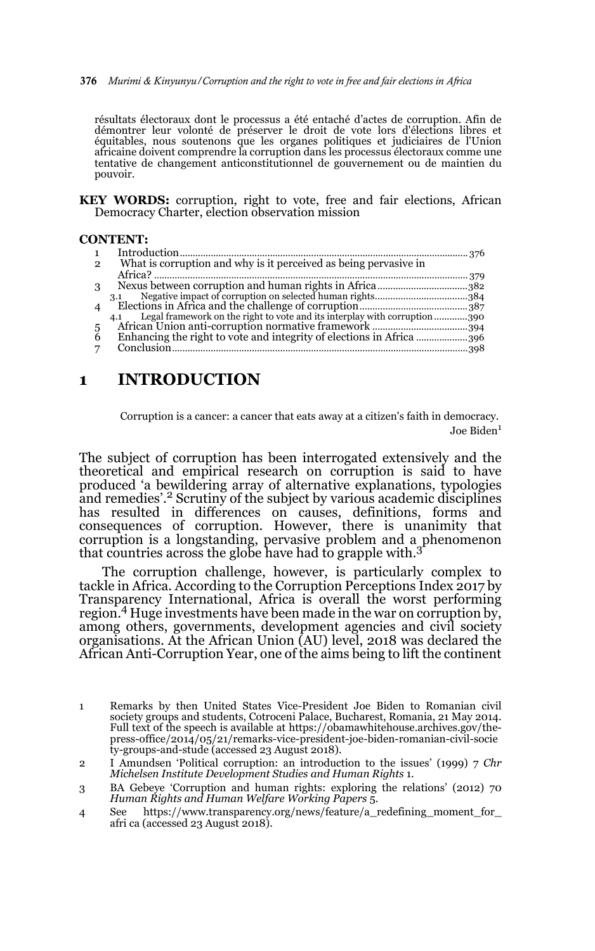376 *Murimi & Kinyunyu/Corruption and the right to vote in free and fair elections in Africa*

résultats électoraux dont le processus a été entaché d'actes de corruption. Afin de démontrer leur volonté de préserver le droit de vote lors d'élections libres et équitables, nous soutenons que les organes politiques et judiciaires de l'Union africaine doivent comprendre la corruption dans les processus électoraux comme une tentative de changement anticonstitutionnel de gouvernement ou de maintien du pouvoir.

**KEY WORDS:** corruption, right to vote, free and fair elections, African Democracy Charter, election observation mission

#### **CONTENT:**

| $\mathbf{1}$          |                                                                                   |  |
|-----------------------|-----------------------------------------------------------------------------------|--|
| $\overline{2}$        | What is corruption and why is it perceived as being pervasive in                  |  |
|                       |                                                                                   |  |
| 3                     |                                                                                   |  |
|                       | 3.1                                                                               |  |
| $\boldsymbol{\Delta}$ |                                                                                   |  |
|                       | Legal framework on the right to vote and its interplay with corruption 390<br>4.1 |  |
| 5                     |                                                                                   |  |
| 6                     | Enhancing the right to vote and integrity of elections in Africa                  |  |
| 7                     |                                                                                   |  |
|                       |                                                                                   |  |

# **1 INTRODUCTION**

Corruption is a cancer: a cancer that eats away at a citizen's faith in democracy. Joe Biden<sup>1</sup>

The subject of corruption has been interrogated extensively and the theoretical and empirical research on corruption is said to have produced 'a bewildering array of alternative explanations, typologies and remedies'.<sup>2</sup> Scrutiny of the subject by various academic disciplines has resulted in differences on causes, definitions, forms and consequences of corruption. However, there is unanimity that corruption is a longstanding, pervasive problem and a phenomenon that countries across the globe have had to grapple with.<sup>3</sup>

The corruption challenge, however, is particularly complex to tackle in Africa. According to the Corruption Perceptions Index 2017 by Transparency International, Africa is overall the worst performing region.4 Huge investments have been made in the war on corruption by, among others, governments, development agencies and civil society organisations. At the African Union (AU) level, 2018 was declared the African Anti-Corruption Year, one of the aims being to lift the continent

<sup>1</sup> Remarks by then United States Vice-President Joe Biden to Romanian civil society groups and students, Cotroceni Palace, Bucharest, Romania, 21 May 2014. Full text of the speech is available at https://obamawhitehouse.archives.gov/thepress-office/2014/05/21/remarks-vice-president-joe-biden-romanian-civil-socie ty-groups-and-stude (accessed 23 August 2018).

<sup>2</sup> I Amundsen 'Political corruption: an introduction to the issues' (1999) 7 *Chr Michelsen Institute Development Studies and Human Rights* 1.

<sup>3</sup> BA Gebeye 'Corruption and human rights: exploring the relations' (2012) 70 *Human Rights and Human Welfare Working Papers* 5.

<sup>4</sup> See https://www.transparency.org/news/feature/a\_redefining\_moment\_for\_ afri ca (accessed 23 August 2018).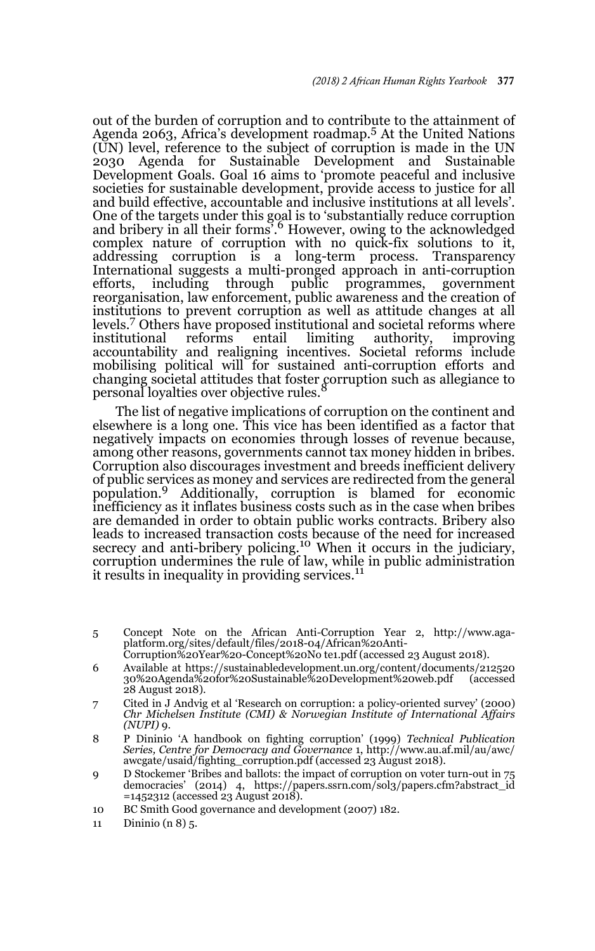out of the burden of corruption and to contribute to the attainment of Agenda 2063, Africa's development roadmap.5 At the United Nations (UN) level, reference to the subject of corruption is made in the UN 2030 Agenda for Sustainable Development and Sustainable Development Goals. Goal 16 aims to 'promote peaceful and inclusive societies for sustainable development, provide access to justice for all and build effective, accountable and inclusive institutions at all levels'. One of the targets under this goal is to 'substantially reduce corruption and bribery in all their forms<sup>3</sup>.<sup>6</sup> However, owing to the acknowledged complex nature of corruption with no quick-fix solutions to it, addressing corruption is a long-term process. Transparency International suggests a multi-pronged approach in anti-corruption efforts, including through public programmes, government reorganisation, law enforcement, public awareness and the creation of institutions to prevent corruption as well as attitude changes at all levels.7 Others have proposed institutional and societal reforms where institutional reforms entail limiting authority, improving accountability and realigning incentives. Societal reforms include mobilising political will for sustained anti-corruption efforts and changing societal attitudes that foster corruption such as allegiance to personal loyalties over objective rules.<sup>8</sup>

The list of negative implications of corruption on the continent and elsewhere is a long one. This vice has been identified as a factor that negatively impacts on economies through losses of revenue because, among other reasons, governments cannot tax money hidden in bribes. Corruption also discourages investment and breeds inefficient delivery of public services as money and services are redirected from the general population.9 Additionally, corruption is blamed for economic inefficiency as it inflates business costs such as in the case when bribes are demanded in order to obtain public works contracts. Bribery also leads to increased transaction costs because of the need for increased secrecy and anti-bribery policing.<sup>10</sup> When it occurs in the judiciary, corruption undermines the rule of law, while in public administration it results in inequality in providing services.<sup>11</sup>

- 5 Concept Note on the African Anti-Corruption Year 2, http://www.agaplatform.org/sites/default/files/2018-04/African%20Anti-
	- Corruption%20Year%20-Concept%20No te1.pdf (accessed 23 August 2018).
- 6 Available at https://sustainabledevelopment.un.org/content/documents/212520 30%20Agenda%20for%20Sustainable%20Development%20web.pdf (accessed 28 August 2018).
- 7 Cited in J Andvig et al 'Research on corruption: a policy-oriented survey' (2000) *Chr Michelsen Institute (CMI) & Norwegian Institute of International Affairs (NUPI)* 9.
- 8 P Dininio 'A handbook on fighting corruption' (1999) *Technical Publication Series, Centre for Democracy and Governance* 1, http://www.au.af.mil/au/awc/ awcgate/usaid/fighting\_corruption.pdf (accessed 23 August 2018).
- 9 D Stockemer 'Bribes and ballots: the impact of corruption on voter turn-out in 75 democracies' (2014) 4, https://papers.ssrn.com/sol3/papers.cfm?abstract\_id =1452312 (accessed 23 August 2018).
- 10 BC Smith Good governance and development (2007) 182.
- 11 Dininio (n 8) 5.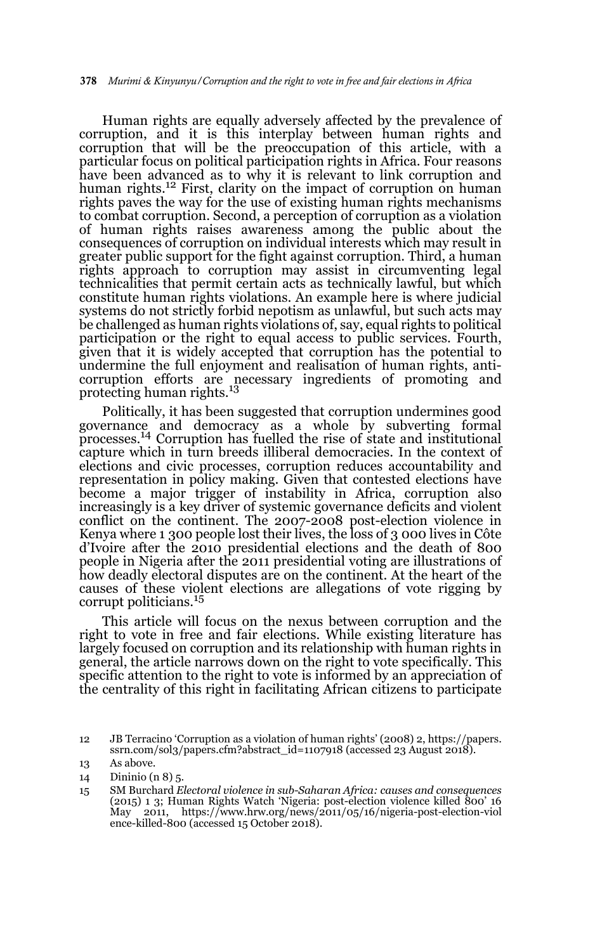Human rights are equally adversely affected by the prevalence of corruption, and it is this interplay between human rights and corruption that will be the preoccupation of this article, with a particular focus on political participation rights in Africa. Four reasons have been advanced as to why it is relevant to link corruption and human rights.<sup>12</sup> First, clarity on the impact of corruption on human rights paves the way for the use of existing human rights mechanisms to combat corruption. Second, a perception of corruption as a violation of human rights raises awareness among the public about the consequences of corruption on individual interests which may result in greater public support for the fight against corruption. Third, a human rights approach to corruption may assist in circumventing legal technicalities that permit certain acts as technically lawful, but which constitute human rights violations. An example here is where judicial systems do not strictly forbid nepotism as unlawful, but such acts may be challenged as human rights violations of, say, equal rights to political participation or the right to equal access to public services. Fourth, given that it is widely accepted that corruption has the potential to undermine the full enjoyment and realisation of human rights, anticorruption efforts are necessary ingredients of promoting and protecting human rights.13

Politically, it has been suggested that corruption undermines good governance and democracy as a whole by subverting formal processes.14 Corruption has fuelled the rise of state and institutional capture which in turn breeds illiberal democracies. In the context of elections and civic processes, corruption reduces accountability and representation in policy making. Given that contested elections have become a major trigger of instability in Africa, corruption also increasingly is a key driver of systemic governance deficits and violent conflict on the continent. The 2007-2008 post-election violence in Kenya where 1 300 people lost their lives, the loss of 3 000 lives in Côte d'Ivoire after the 2010 presidential elections and the death of 800 people in Nigeria after the 2011 presidential voting are illustrations of how deadly electoral disputes are on the continent. At the heart of the causes of these violent elections are allegations of vote rigging by corrupt politicians.<sup>15</sup>

This article will focus on the nexus between corruption and the right to vote in free and fair elections. While existing literature has largely focused on corruption and its relationship with human rights in general, the article narrows down on the right to vote specifically. This specific attention to the right to vote is informed by an appreciation of the centrality of this right in facilitating African citizens to participate

<sup>12</sup> JB Terracino 'Corruption as a violation of human rights' (2008) 2, https://papers. ssrn.com/sol3/papers.cfm?abstract\_id=1107918 (accessed 23 August 2018).

<sup>13</sup> As above.

<sup>14</sup> Dininio (n 8) 5.

<sup>15</sup> SM Burchard *Electoral violence in sub-Saharan Africa: causes and consequences* (2015) 1 3; Human Rights Watch 'Nigeria: post-election violence killed 800' 16<br>May 2011, https://www.hrw.org/news/2011/05/16/nigeria-post-election-viol 2011, https://www.hrw.org/news/2011/05/16/nigeria-post-election-viol ence-killed-800 (accessed 15 October 2018).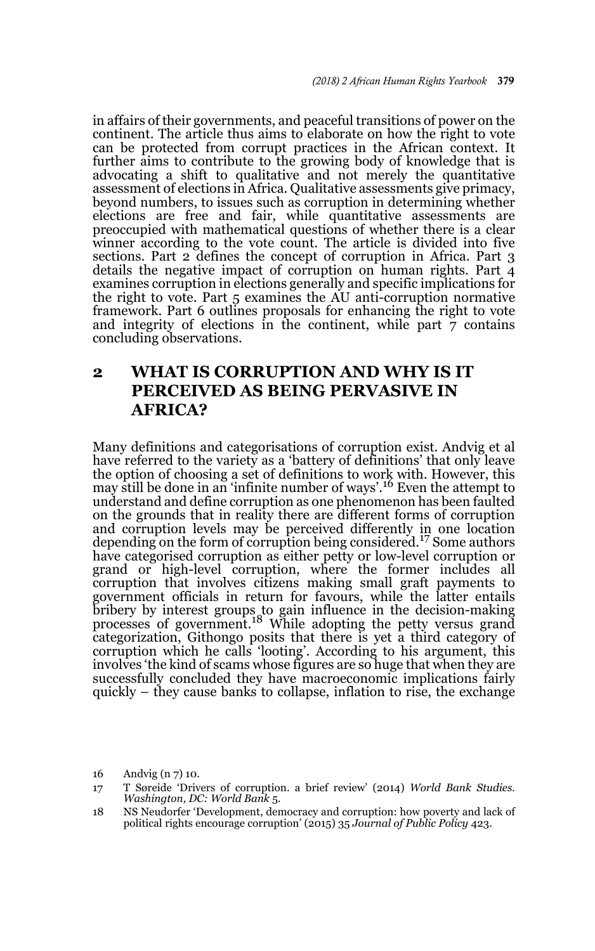in affairs of their governments, and peaceful transitions of power on the continent. The article thus aims to elaborate on how the right to vote can be protected from corrupt practices in the African context. It further aims to contribute to the growing body of knowledge that is advocating a shift to qualitative and not merely the quantitative assessment of elections in Africa. Qualitative assessments give primacy, beyond numbers, to issues such as corruption in determining whether elections are free and fair, while quantitative assessments are preoccupied with mathematical questions of whether there is a clear winner according to the vote count. The article is divided into five sections. Part 2 defines the concept of corruption in Africa. Part 3 details the negative impact of corruption on human rights. Part 4 examines corruption in elections generally and specific implications for the right to vote. Part 5 examines the AU anti-corruption normative framework. Part 6 outlines proposals for enhancing the right to vote and integrity of elections in the continent, while part  $\bar{7}$  contains concluding observations.

# **2 WHAT IS CORRUPTION AND WHY IS IT PERCEIVED AS BEING PERVASIVE IN AFRICA?**

Many definitions and categorisations of corruption exist. Andvig et al have referred to the variety as a 'battery of definitions' that only leave the option of choosing a set of definitions to work with. However, this may still be done in an 'infinite number of ways'.<sup>16</sup> Even the attempt to understand and define corruption as one phenomenon has been faulted on the grounds that in reality there are different forms of corruption and corruption levels may be perceived differently in one location depending on the form of corruption being considered.<sup>17</sup> Some authors have categorised corruption as either petty or low-level corruption or grand or high-level corruption, where the former includes all corruption that involves citizens making small graft payments to government officials in return for favours, while the latter entails bribery by interest groups to gain influence in the decision-making processes of government.18 While adopting the petty versus grand categorization, Githongo posits that there is yet a third category of corruption which he calls 'looting'. According to his argument, this involves 'the kind of scams whose figures are so huge that when they are successfully concluded they have macroeconomic implications fairly quickly – they cause banks to collapse, inflation to rise, the exchange

<sup>16</sup> Andvig (n 7) 10.

<sup>17</sup> T Søreide 'Drivers of corruption. a brief review' (2014) *World Bank Studies. Washington, DC: World Bank* 5.

<sup>18</sup> NS Neudorfer 'Development, democracy and corruption: how poverty and lack of political rights encourage corruption' (2015) 35 *Journal of Public Policy* 423.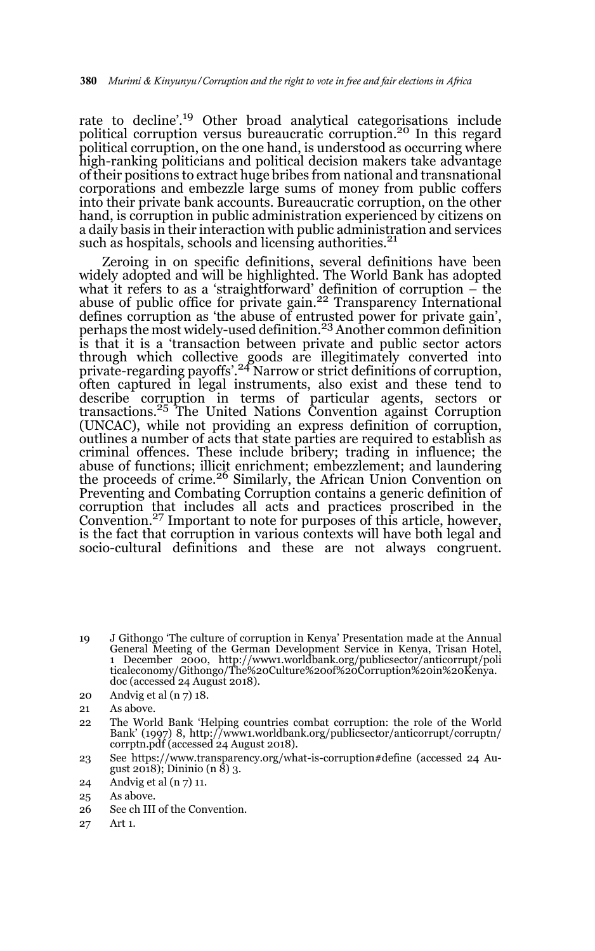rate to decline'.19 Other broad analytical categorisations include political corruption versus bureaucratic corruption.<sup>20</sup> In this regard political corruption, on the one hand, is understood as occurring where high-ranking politicians and political decision makers take advantage of their positions to extract huge bribes from national and transnational corporations and embezzle large sums of money from public coffers into their private bank accounts. Bureaucratic corruption, on the other hand, is corruption in public administration experienced by citizens on a daily basis in their interaction with public administration and services such as hospitals, schools and licensing authorities.<sup>21</sup>

Zeroing in on specific definitions, several definitions have been widely adopted and will be highlighted. The World Bank has adopted what it refers to as a 'straightforward' definition of corruption – the abuse of public office for private gain.<sup>22</sup> Transparency International defines corruption as 'the abuse of entrusted power for private gain',<br>perhaps the most widely-used definition.<sup>23</sup> Another common definition is that it is a 'transaction between private and public sector actors through which collective goods are illegitimately converted into private-regarding payoffs'.24 Narrow or strict definitions of corruption, often captured in legal instruments, also exist and these tend to describe corruption in terms of particular agents, sectors or<br>transactions.<sup>25</sup> The United Nations Convention against Corruption (UNCAC), while not providing an express definition of corruption, outlines a number of acts that state parties are required to establish as criminal offences. These include bribery; trading in influence; the abuse of functions; illicit enrichment; embezzlement; and laundering<br>the proceeds of crime.<sup>26</sup> Similarly, the African Union Convention on Preventing and Combating Corruption contains a generic definition of corruption that includes all acts and practices proscribed in the Convention.27 Important to note for purposes of this article, however, is the fact that corruption in various contexts will have both legal and socio-cultural definitions and these are not always congruent.

19 J Githongo 'The culture of corruption in Kenya' Presentation made at the Annual General Meeting of the German Development Service in Kenya, Trisan Hotel, 1 December 2000, http://www1.worldbank.org/publicsector/anticorrupt/poli ticaleconomy/Githongo/The%20Culture%20of%20Corruption%20in%20Kenya. doc (accessed 24 August 2018).

- 22 The World Bank 'Helping countries combat corruption: the role of the World Bank' (1997) 8, http://www1.worldbank.org/publicsector/anticorrupt/corruptn/ corrptn.pdf (accessed 24 August 2018).
- 23 See https://www.transparency.org/what-is-corruption#define (accessed 24 August 2018); Dininio (n  $\hat{8}$ ) 3.

- 25 As above.
- 26 See ch III of the Convention.
- 27 Art 1.

<sup>20</sup> Andvig et al (n 7) 18.

<sup>21</sup> As above.

<sup>24</sup> Andvig et al (n 7) 11.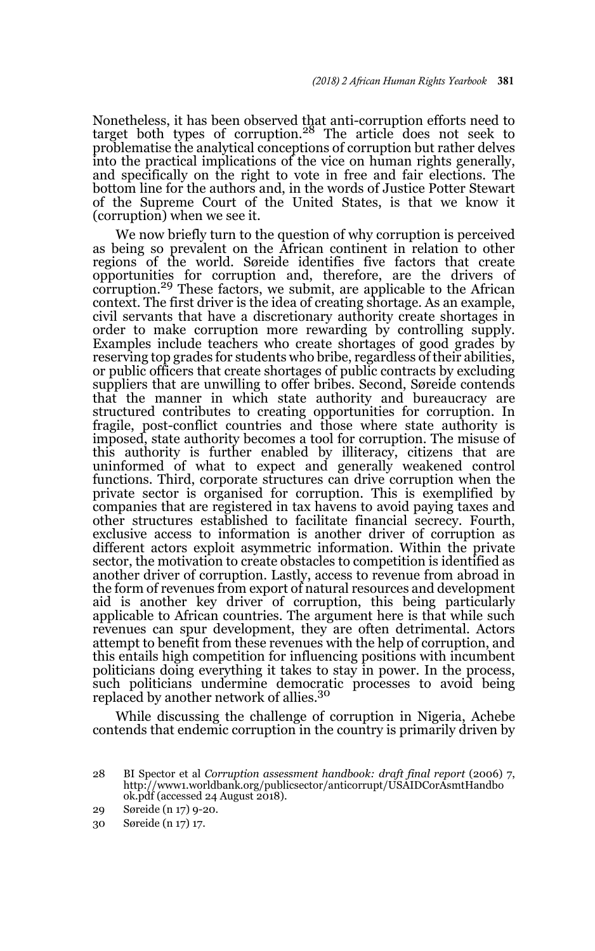Nonetheless, it has been observed that anti-corruption efforts need to<br>target both types of corruption.<sup>28</sup> The article does not seek to problematise the analytical conceptions of corruption but rather delves into the practical implications of the vice on human rights generally, and specifically on the right to vote in free and fair elections. The bottom line for the authors and, in the words of Justice Potter Stewart of the Supreme Court of the United States, is that we know it (corruption) when we see it.

We now briefly turn to the question of why corruption is perceived as being so prevalent on the African continent in relation to other regions of the world. Søreide identifies five factors that create opportunities for corruption and, therefore, are the drivers of corruption.<sup>29</sup> These factors, we submit, are applicable to the African context. The first driver is the idea of creating shortage. As an example, civil servants that have a discretionary authority create shortages in order to make corruption more rewarding by controlling supply. Examples include teachers who create shortages of good grades by reserving top grades for students who bribe, regardless of their abilities, or public officers that create shortages of public contracts by excluding suppliers that are unwilling to offer bribes. Second, Søreide contends that the manner in which state authority and bureaucracy are structured contributes to creating opportunities for corruption. In fragile, post-conflict countries and those where state authority is imposed, state authority becomes a tool for corruption. The misuse of this authority is further enabled by illiteracy, citizens that are uninformed of what to expect and generally weakened control functions. Third, corporate structures can drive corruption when the private sector is organised for corruption. This is exemplified by companies that are registered in tax havens to avoid paying taxes and other structures established to facilitate financial secrecy. Fourth, exclusive access to information is another driver of corruption as different actors exploit asymmetric information. Within the private sector, the motivation to create obstacles to competition is identified as another driver of corruption. Lastly, access to revenue from abroad in the form of revenues from export of natural resources and development aid is another key driver of corruption, this being particularly applicable to African countries. The argument here is that while such revenues can spur development, they are often detrimental. Actors attempt to benefit from these revenues with the help of corruption, and this entails high competition for influencing positions with incumbent politicians doing everything it takes to stay in power. In the process, such politicians undermine democratic processes to avoid being replaced by another network of allies.<sup>30</sup>

While discussing the challenge of corruption in Nigeria, Achebe contends that endemic corruption in the country is primarily driven by

<sup>28</sup> BI Spector et al *Corruption assessment handbook: draft final report* (2006) 7, http://www1.worldbank.org/publicsector/anticorrupt/USAIDCorAsmtHandbo ok.pdf (accessed 24 August 2018).

<sup>29</sup> Søreide (n 17) 9-20.

<sup>30</sup> Søreide (n 17) 17.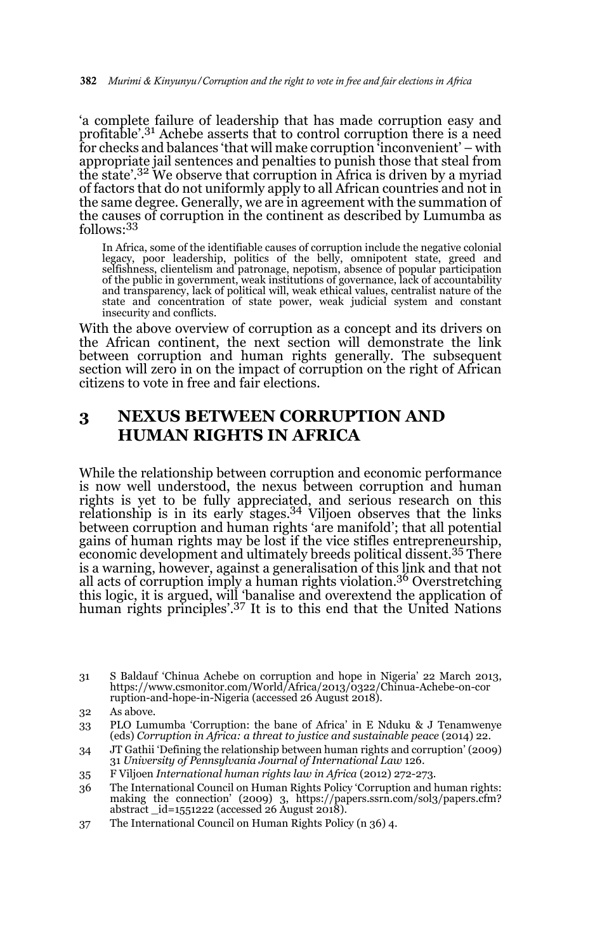'a complete failure of leadership that has made corruption easy and profitable'.31 Achebe asserts that to control corruption there is a need for checks and balances 'that will make corruption 'inconvenient' – with appropriate jail sentences and penalties to punish those that steal from the state'.<sup>32</sup> We observe that corruption in Africa is driven by a myriad of factors that do not uniformly apply to all African countries and not in the same degree. Generally, we are in agreement with the summation of the causes of corruption in the continent as described by Lumumba as follows:33

In Africa, some of the identifiable causes of corruption include the negative colonial<br>legacy, poor leadership, politics of the belly, omnipotent state, greed and<br>selfishness, clientelism and patronage, nepotism, of the public in government, weak institutions of governance, lack of accountability and transparency, lack of political will, weak ethical values, centralist nature of the state and concentration of state power, weak judicial system and constant insecurity and conflicts.

With the above overview of corruption as a concept and its drivers on the African continent, the next section will demonstrate the link between corruption and human rights generally. The subsequent section will zero in on the impact of corruption on the right of African citizens to vote in free and fair elections.

# **3 NEXUS BETWEEN CORRUPTION AND HUMAN RIGHTS IN AFRICA**

While the relationship between corruption and economic performance is now well understood, the nexus between corruption and human rights is yet to be fully appreciated, and serious research on this<br>relationship is in its early stages.<sup>34</sup> Viljoen observes that the links between corruption and human rights 'are manifold'; that all potential gains of human rights may be lost if the vice stifles entrepreneurship, economic development and ultimately breeds political dissent.35 There is a warning, however, against a generalisation of this link and that not all acts of corruption imply a human rights violation.<sup>36</sup> Overstretching this logic, it is argued, will 'banalise and overextend the application of human rights principles'.37 It is to this end that the United Nations

37 The International Council on Human Rights Policy (n 36) 4.

<sup>31</sup> S Baldauf 'Chinua Achebe on corruption and hope in Nigeria' 22 March 2013, https://www.csmonitor.com/World/Africa/2013/0322/Chinua-Achebe-on-cor ruption-and-hope-in-Nigeria (accessed 26 August 2018).

<sup>32</sup> As above.

<sup>33</sup> PLO Lumumba 'Corruption: the bane of Africa' in E Nduku & J Tenamwenye (eds) *Corruption in Africa: a threat to justice and sustainable peace* (2014) 22.

<sup>34</sup> JT Gathii 'Defining the relationship between human rights and corruption' (2009) 31 *University of Pennsylvania Journal of International Law* 126.

<sup>35</sup> F Viljoen *International human rights law in Africa* (2012) 272-273.

<sup>36</sup> The International Council on Human Rights Policy 'Corruption and human rights: making the connection' (2009) 3, https://papers.ssrn.com/sol3/papers.cfm? abstract \_id=1551222 (accessed 26 August 2018).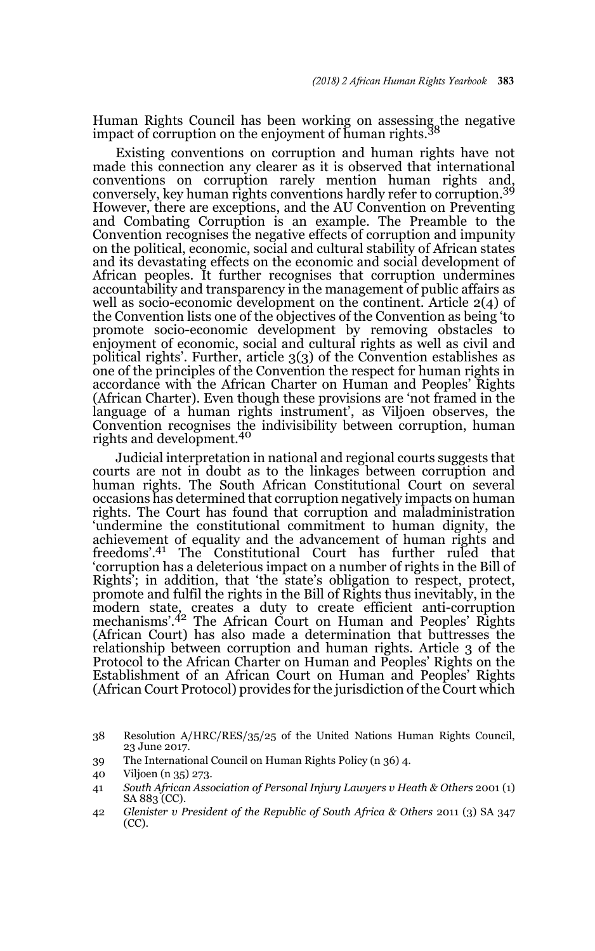Human Rights Council has been working on assessing the negative impact of corruption on the enjoyment of human rights.<sup>3</sup>

Existing conventions on corruption and human rights have not made this connection any clearer as it is observed that international conventions on corruption rarely mention human rights and, conversely, key human rights conventions hardly refer to corruption.<sup>39</sup> However, there are exceptions, and the AU Convention on Preventing and Combating Corruption is an example. The Preamble to the Convention recognises the negative effects of corruption and impunity on the political, economic, social and cultural stability of African states and its devastating effects on the economic and social development of African peoples. It further recognises that corruption undermines accountability and transparency in the management of public affairs as well as socio-economic development on the continent. Article 2(4) of the Convention lists one of the objectives of the Convention as being 'to promote socio-economic development by removing obstacles to enjoyment of economic, social and cultural rights as well as civil and political rights'. Further, article 3(3) of the Convention establishes as one of the principles of the Convention the respect for human rights in accordance with the African Charter on Human and Peoples' Rights (African Charter). Even though these provisions are 'not framed in the language of a human rights instrument', as Viljoen observes, the Convention recognises the indivisibility between corruption, human rights and development.<sup>40</sup>

Judicial interpretation in national and regional courts suggests that courts are not in doubt as to the linkages between corruption and human rights. The South African Constitutional Court on several occasions has determined that corruption negatively impacts on human rights. The Court has found that corruption and maladministration 'undermine the constitutional commitment to human dignity, the achievement of equality and the advancement of human rights and freedoms'.41 The Constitutional Court has further ruled that 'corruption has a deleterious impact on a number of rights in the Bill of Rights'; in addition, that 'the state's obligation to respect, protect, promote and fulfil the rights in the Bill of Rights thus inevitably, in the modern state, creates a duty to create efficient anti-corruption mechanisms'.42 The African Court on Human and Peoples' Rights (African Court) has also made a determination that buttresses the relationship between corruption and human rights. Article 3 of the Protocol to the African Charter on Human and Peoples' Rights on the Establishment of an African Court on Human and Peoples' Rights (African Court Protocol) provides for the jurisdiction of the Court which

<sup>38</sup> Resolution A/HRC/RES/35/25 of the United Nations Human Rights Council, 23 June 2017.

<sup>39</sup> The International Council on Human Rights Policy (n 36) 4.

<sup>40</sup> Viljoen (n 35) 273.

<sup>41</sup> *South African Association of Personal Injury Lawyers v Heath & Others* 2001 (1) SA 883 (CC).

<sup>42</sup> *Glenister v President of the Republic of South Africa & Others* 2011 (3) SA 347 (CC).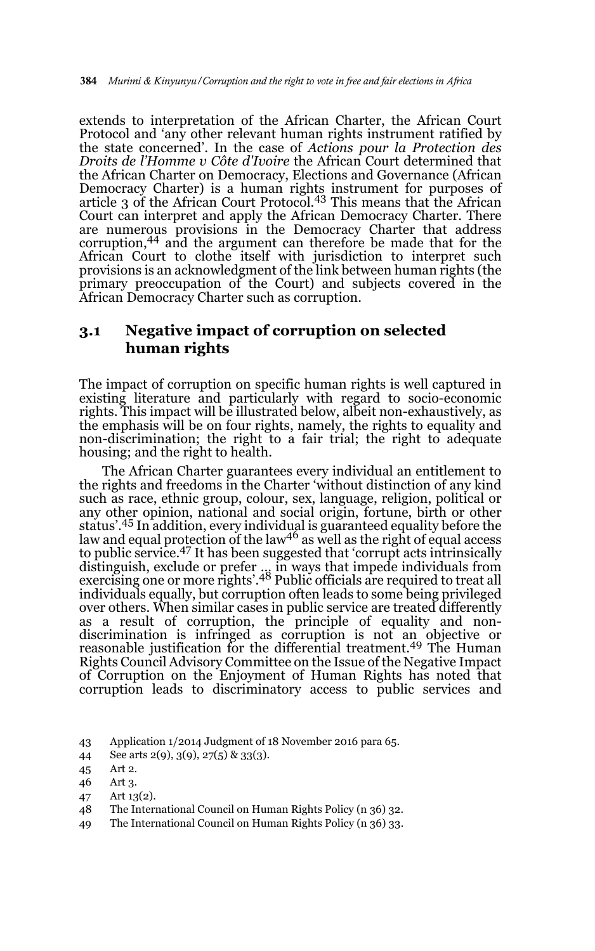extends to interpretation of the African Charter, the African Court Protocol and 'any other relevant human rights instrument ratified by the state concerned'. In the case of *Actions pour la Protection des Droits de l'Homme v Côte d'Ivoire* the African Court determined that the African Charter on Democracy, Elections and Governance (African Democracy Charter) is a human rights instrument for purposes of article 3 of the African Court Protocol.43 This means that the African Court can interpret and apply the African Democracy Charter. There are numerous provisions in the Democracy Charter that address corruption,44 and the argument can therefore be made that for the African Court to clothe itself with jurisdiction to interpret such provisions is an acknowledgment of the link between human rights (the primary preoccupation of the Court) and subjects covered in the African Democracy Charter such as corruption.

#### **3.1 Negative impact of corruption on selected human rights**

The impact of corruption on specific human rights is well captured in existing literature and particularly with regard to socio-economic rights. This impact will be illustrated below, albeit non-exhaustively, as the emphasis will be on four rights, namely, the rights to equality and non-discrimination; the right to a fair trial; the right to adequate housing; and the right to health.

The African Charter guarantees every individual an entitlement to the rights and freedoms in the Charter 'without distinction of any kind such as race, ethnic group, colour, sex, language, religion, political or any other opinion, national and social origin, fortune, birth or other status'.<sup>45</sup> In addition, every individual is guaranteed equality before the law and equal protection of the law<sup>46</sup> as well as the right of equal access to public service.47 It has been suggested that 'corrupt acts intrinsically distinguish, exclude or prefer … in ways that impede individuals from exercising one or more rights'.48 Public officials are required to treat all individuals equally, but corruption often leads to some being privileged over others. When similar cases in public service are treated differently as a result of corruption, the principle of equality and nondiscrimination is infringed as corruption is not an objective or reasonable justification for the differential treatment.<sup>49</sup> The Human Rights Council Advisory Committee on the Issue of the Negative Impact of Corruption on the Enjoyment of Human Rights has noted that corruption leads to discriminatory access to public services and

49 The International Council on Human Rights Policy (n 36) 33.

<sup>43</sup> Application 1/2014 Judgment of 18 November 2016 para 65.

<sup>44</sup> See arts 2(9), 3(9), 27(5) & 33(3).

<sup>45</sup> Art 2.

<sup>46</sup> Art 3.

<sup>47</sup> Art 13(2).

<sup>48</sup> The International Council on Human Rights Policy (n 36) 32.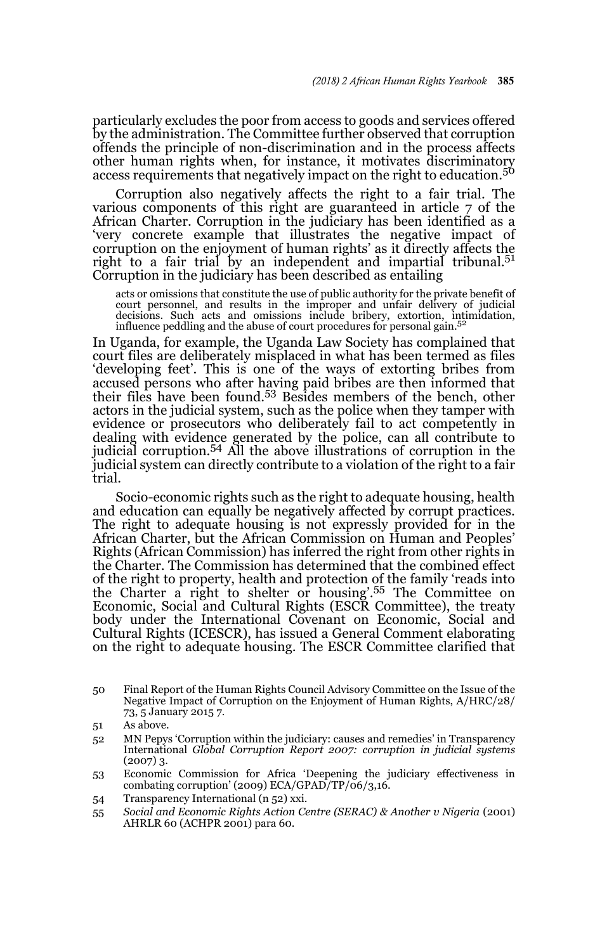particularly excludes the poor from access to goods and services offered by the administration. The Committee further observed that corruption offends the principle of non-discrimination and in the process affects other human rights when, for instance, it motivates discriminatory access requirements that negatively impact on the right to education.<sup>50</sup>

Corruption also negatively affects the right to a fair trial. The various components of this right are guaranteed in article 7 of the African Charter. Corruption in the judiciary has been identified as a 'very concrete example that illustrates the negative impact of corruption on the enjoyment of human rights' as it directly affects the right to a fair trial by an independent and impartial tribunal.<sup>51</sup> Corruption in the judiciary has been described as entailing

acts or omissions that constitute the use of public authority for the private benefit of court personnel, and results in the improper and unfair delivery of judicial decisions. Such acts and omissions include bribery, extortion, intimidation, influence peddling and the abuse of court procedures for personal ga

In Uganda, for example, the Uganda Law Society has complained that court files are deliberately misplaced in what has been termed as files 'developing feet'. This is one of the ways of extorting bribes from accused persons who after having paid bribes are then informed that their files have been found.53 Besides members of the bench, other actors in the judicial system, such as the police when they tamper with evidence or prosecutors who deliberately fail to act competently in dealing with evidence generated by the police, can all contribute to judicial corruption.54 All the above illustrations of corruption in the judicial system can directly contribute to a violation of the right to a fair trial.

Socio-economic rights such as the right to adequate housing, health and education can equally be negatively affected by corrupt practices. The right to adequate housing is not expressly provided for in the African Charter, but the African Commission on Human and Peoples' Rights (African Commission) has inferred the right from other rights in the Charter. The Commission has determined that the combined effect of the right to property, health and protection of the family 'reads into the Charter a right to shelter or housing'.55 The Committee on Economic, Social and Cultural Rights (ESCR Committee), the treaty body under the International Covenant on Economic, Social and Cultural Rights (ICESCR), has issued a General Comment elaborating on the right to adequate housing. The ESCR Committee clarified that

<sup>50</sup> Final Report of the Human Rights Council Advisory Committee on the Issue of the Negative Impact of Corruption on the Enjoyment of Human Rights, A/HRC/28/ 73, 5 January 2015 7.

<sup>51</sup> As above.

<sup>52</sup> MN Pepys 'Corruption within the judiciary: causes and remedies' in Transparency International *Global Corruption Report 2007: corruption in judicial systems*  $(2007)$  3.

<sup>53</sup> Economic Commission for Africa 'Deepening the judiciary effectiveness in combating corruption' (2009) ECA/GPAD/TP/06/3,16.

<sup>54</sup> Transparency International (n 52) xxi.

<sup>55</sup> *Social and Economic Rights Action Centre (SERAC) & Another v Nigeria* (2001) AHRLR 60 (ACHPR 2001) para 60.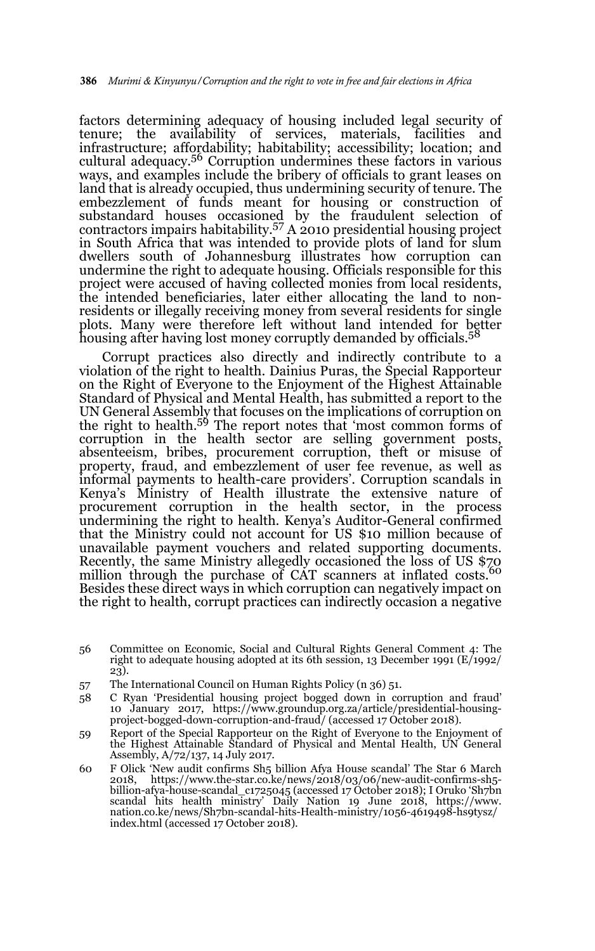factors determining adequacy of housing included legal security of tenure; the availability of services, materials, facilities and infrastructure; affordability; habitability; accessibility; location; and cultural adequacy.56 Corruption undermines these factors in various ways, and examples include the bribery of officials to grant leases on land that is already occupied, thus undermining security of tenure. The embezzlement of funds meant for housing or construction of substandard houses occasioned by the fraudulent selection of contractors impairs habitability.57 A 2010 presidential housing project in South Africa that was intended to provide plots of land for slum dwellers south of Johannesburg illustrates how corruption can undermine the right to adequate housing. Officials responsible for this project were accused of having collected monies from local residents, the intended beneficiaries, later either allocating the land to nonresidents or illegally receiving money from several residents for single plots. Many were therefore left without land intended for better housing after having lost money corruptly demanded by officials.<sup>58</sup>

Corrupt practices also directly and indirectly contribute to a violation of the right to health. Dainius Puras, the Special Rapporteur on the Right of Everyone to the Enjoyment of the Highest Attainable Standard of Physical and Mental Health, has submitted a report to the UN General Assembly that focuses on the implications of corruption on the right to health.<sup>59</sup> The report notes that 'most common forms of corruption in the health sector are selling government posts, absenteeism, bribes, procurement corruption, theft or misuse of property, fraud, and embezzlement of user fee revenue, as well as informal payments to health-care providers'. Corruption scandals in Kenya's Ministry of Health illustrate the extensive nature of procurement corruption in the health sector, in the process undermining the right to health. Kenya's Auditor-General confirmed that the Ministry could not account for US \$10 million because of unavailable payment vouchers and related supporting documents. Recently, the same Ministry allegedly occasioned the loss of US \$70 million through the purchase of CAT scanners at inflated costs.<sup>60</sup> Besides these direct ways in which corruption can negatively impact on the right to health, corrupt practices can indirectly occasion a negative

- 56 Committee on Economic, Social and Cultural Rights General Comment 4: The right to adequate housing adopted at its 6th session, 13 December 1991 (E/1992/ 23).
- 57 The International Council on Human Rights Policy (n 36) 51.
- 58 C Ryan 'Presidential housing project bogged down in corruption and fraud' 10 January 2017, https://www.groundup.org.za/article/presidential-housing-project-bogged-down-corruption-and-fraud/ (accessed 17 October 2018).
- 59 Report of the Special Rapporteur on the Right of Everyone to the Enjoyment of the Highest Attainable Standard of Physical and Mental Health, UN General Assembly, A/72/137, 14 July 2017.
- 60 F Olick 'New audit confirms Sh5 billion Afya House scandal' The Star 6 March 2018, https://www.the-star.co.ke/news/2018/03/06/new-audit-confirms-sh5 billion-afya-house-scandal\_c1725045 (accessed 17 October 2018); I Oruko 'Sh7bn scandal hits health ministry' Daily Nation 19 June 2018, https://www. nation.co.ke/news/Sh7bn-scandal-hits-Health-ministry/1056-4619498-hs9tysz/ index.html (accessed 17 October 2018).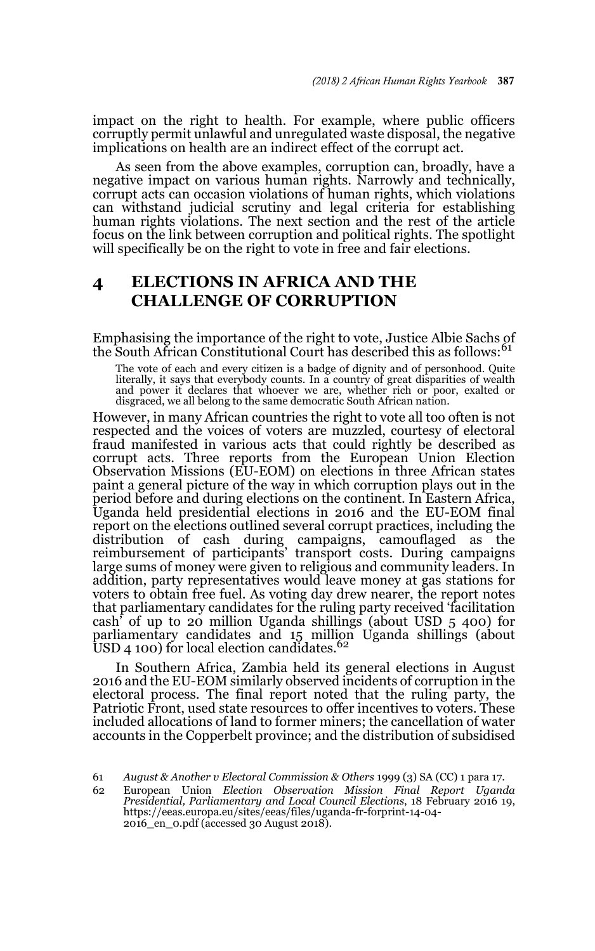impact on the right to health. For example, where public officers corruptly permit unlawful and unregulated waste disposal, the negative implications on health are an indirect effect of the corrupt act.

As seen from the above examples, corruption can, broadly, have a negative impact on various human rights. Narrowly and technically, corrupt acts can occasion violations of human rights, which violations can withstand judicial scrutiny and legal criteria for establishing human rights violations. The next section and the rest of the article focus on the link between corruption and political rights. The spotlight will specifically be on the right to vote in free and fair elections.

## **4 ELECTIONS IN AFRICA AND THE CHALLENGE OF CORRUPTION**

Emphasising the importance of the right to vote, Justice Albie Sachs of the South African Constitutional Court has described this as follows:<sup>61</sup>

The vote of each and every citizen is a badge of dignity and of personhood. Quite literally, it says that everybody counts. In a country of great disparities of wealth and power it declares that whoever we are, whether rich or poor, exalted or disgraced, we all belong to the same democratic South African nation.

However, in many African countries the right to vote all too often is not respected and the voices of voters are muzzled, courtesy of electoral fraud manifested in various acts that could rightly be described as corrupt acts. Three reports from the European Union Election Observation Missions (EU-EOM) on elections in three African states paint a general picture of the way in which corruption plays out in the period before and during elections on the continent. In Eastern Africa, Uganda held presidential elections in 2016 and the EU-EOM final report on the elections outlined several corrupt practices, including the distribution of cash during campaigns, camouflaged as the reimbursement of participants' transport costs. During campaigns large sums of money were given to religious and community leaders. In addition, party representatives would leave money at gas stations for voters to obtain free fuel. As voting day drew nearer, the report notes that parliamentary candidates for the ruling party received 'facilitation cash' of up to 20 million Uganda shillings (about USD 5 400) for parliamentary candidates and 15 million Uganda shillings (about USD 4 100) for local election candidates. $62$ 

In Southern Africa, Zambia held its general elections in August 2016 and the EU-EOM similarly observed incidents of corruption in the electoral process. The final report noted that the ruling party, the Patriotic Front, used state resources to offer incentives to voters. These included allocations of land to former miners; the cancellation of water accounts in the Copperbelt province; and the distribution of subsidised

<sup>61</sup> *August & Another v Electoral Commission & Others* 1999 (3) SA (CC) 1 para 17.

<sup>62</sup> European Union *Election Observation Mission Final Report Uganda Presidential, Parliamentary and Local Council Elections*, 18 February 2016 19, https://eeas.europa.eu/sites/eeas/files/uganda-fr-forprint-14-04- 2016\_en\_0.pdf (accessed 30 August 2018).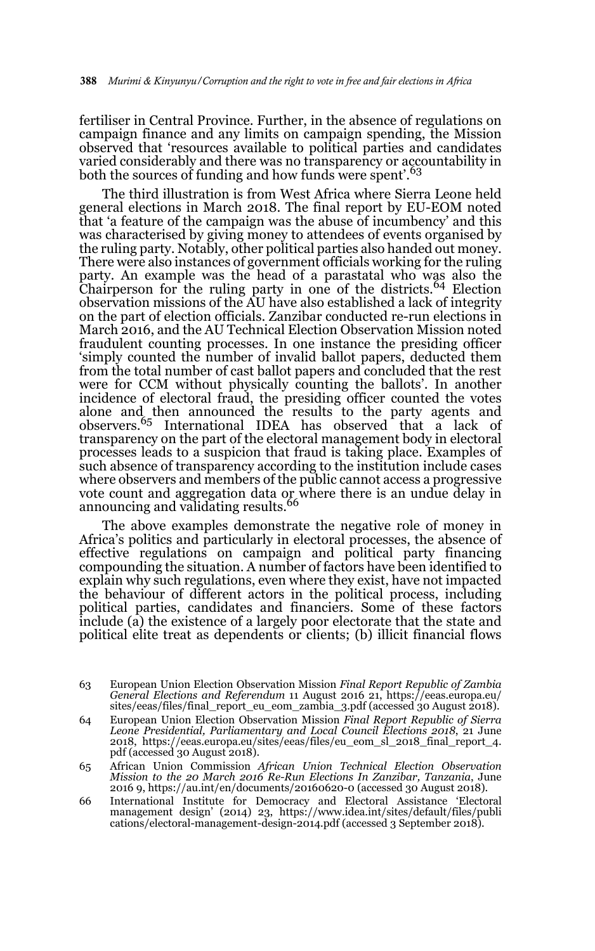fertiliser in Central Province. Further, in the absence of regulations on campaign finance and any limits on campaign spending, the Mission observed that 'resources available to political parties and candidates varied considerably and there was no transparency or accountability in both the sources of funding and how funds were spent'.<sup>63</sup>

The third illustration is from West Africa where Sierra Leone held general elections in March 2018. The final report by EU-EOM noted that 'a feature of the campaign was the abuse of incumbency' and this was characterised by giving money to attendees of events organised by the ruling party. Notably, other political parties also handed out money. There were also instances of government officials working for the ruling party. An example was the head of a parastatal who was also the Chairperson for the ruling party in one of the districts.<sup>64</sup> Election observation missions of the AU have also established a lack of integrity on the part of election officials. Zanzibar conducted re-run elections in March 2016, and the AU Technical Election Observation Mission noted fraudulent counting processes. In one instance the presiding officer 'simply counted the number of invalid ballot papers, deducted them from the total number of cast ballot papers and concluded that the rest were for CCM without physically counting the ballots'. In another incidence of electoral fraud, the presiding officer counted the votes alone and then announced the results to the party agents and observers.65 International IDEA has observed that a lack of transparency on the part of the electoral management body in electoral processes leads to a suspicion that fraud is taking place. Examples of such absence of transparency according to the institution include cases where observers and members of the public cannot access a progressive vote count and aggregation data or where there is an undue delay in<br>announcing and validating results.<sup>66</sup>

The above examples demonstrate the negative role of money in Africa's politics and particularly in electoral processes, the absence of effective regulations on campaign and political party financing compounding the situation. A number of factors have been identified to explain why such regulations, even where they exist, have not impacted the behaviour of different actors in the political process, including political parties, candidates and financiers. Some of these factors include (a) the existence of a largely poor electorate that the state and political elite treat as dependents or clients; (b) illicit financial flows

- 65 African Union Commission *African Union Technical Election Observation Mission to the 20 March 2016 Re-Run Elections In Zanzibar, Tanzania*, June 2016 9, https://au.int/en/documents/20160620-0 (accessed 30 August 2018).
- 66 International Institute for Democracy and Electoral Assistance 'Electoral management design' (2014) 23, https://www.idea.int/sites/default/files/publi cations/electoral-management-design-2014.pdf (accessed 3 September 2018).

<sup>63</sup> European Union Election Observation Mission *Final Report Republic of Zambia General Elections and Referendum* 11 August 2016 21, https://eeas.europa.eu/ sites/eeas/files/final\_report\_eu\_eom\_zambia\_3.pdf (accessed 30 August 2018).

<sup>64</sup> European Union Election Observation Mission *Final Report Republic of Sierra Leone Presidential, Parliamentary and Local Council Elections 2018*, 21 June 2018, https://eeas.europa.eu/sites/eeas/files/eu\_eom\_sl\_2018\_final\_report\_4. pdf (accessed 30 August 2018).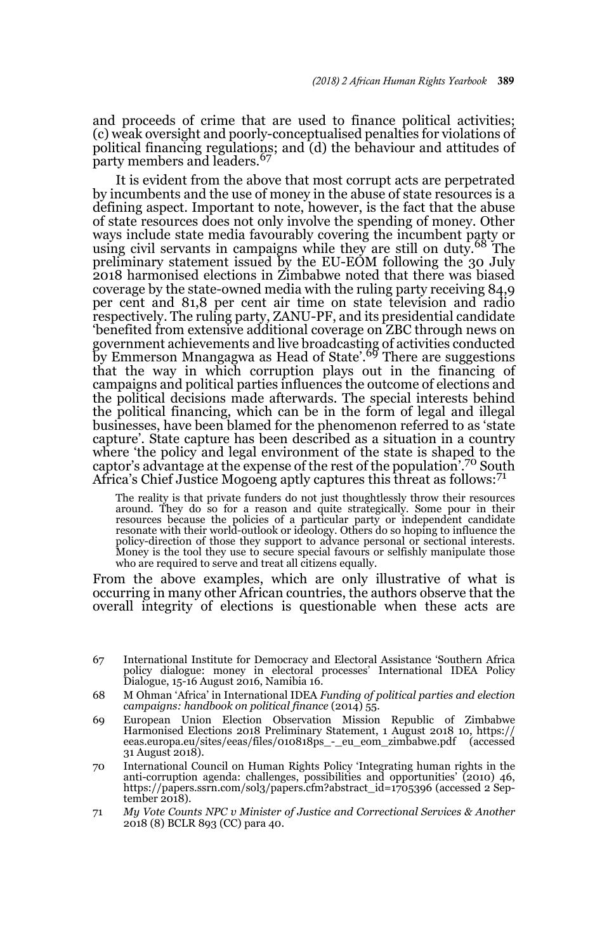and proceeds of crime that are used to finance political activities; (c) weak oversight and poorly-conceptualised penalties for violations of political financing regulations; and (d) the behaviour and attitudes of party members and leaders.<sup>67</sup>

It is evident from the above that most corrupt acts are perpetrated by incumbents and the use of money in the abuse of state resources is a defining aspect. Important to note, however, is the fact that the abuse of state resources does not only involve the spending of money. Other ways include state media favourably covering the incumbent party or<br>using civil servants in campaigns while they are still on duty.<sup>68</sup> The preliminary statement issued by the EU-EOM following the 30 July 2018 harmonised elections in Zimbabwe noted that there was biased coverage by the state-owned media with the ruling party receiving 84,9 per cent and 81,8 per cent air time on state television and radio respectively. The ruling party, ZANU-PF, and its presidential candidate 'benefited from extensive additional coverage on ZBC through news on government achievements and live broadcasting of activities conducted by Emmerson Mnangagwa as Head of State'.69 There are suggestions that the way in which corruption plays out in the financing of campaigns and political parties influences the outcome of elections and the political decisions made afterwards. The special interests behind the political financing, which can be in the form of legal and illegal businesses, have been blamed for the phenomenon referred to as 'state capture'. State capture has been described as a situation in a country where 'the policy and legal environment of the state is shaped to the captor's advantage at the expense of the rest of the population'.70 South Africa's Chief Justice Mogoeng aptly captures this threat as follows:<sup>71</sup>

The reality is that private funders do not just thoughtlessly throw their resources around. They do so for a reason and quite strategically. Some pour in their resources because the policies of a particular party or independent candidate resonate with their world-outlook or ideology. Others do so hoping to influence the policy-direction of those they support to advance personal or sectional interests. Money is the tool they use to secure special favours or selfishly manipulate those who are required to serve and treat all citizens equally.

From the above examples, which are only illustrative of what is occurring in many other African countries, the authors observe that the overall integrity of elections is questionable when these acts are

- 68 M Ohman 'Africa' in International IDEA *Funding of political parties and election campaigns: handbook on political finance* (2014) 55.
- 69 European Union Election Observation Mission Republic of Zimbabwe Harmonised Elections 2018 Preliminary Statement, 1 August 2018 10, https:// eeas.europa.eu/sites/eeas/files/010818ps\_-\_eu\_eom\_zimbabwe.pdf (accessed 31 August 2018).
- 70 International Council on Human Rights Policy 'Integrating human rights in the anti-corruption agenda: challenges, possibilities and opportunities' (2010) 46, https://papers.ssrn.com/sol3/papers.cfm?abstract\_id=1705396 (accessed 2 Sep $t$ ember 2018).
- 71 *My Vote Counts NPC v Minister of Justice and Correctional Services & Another* 2018 (8) BCLR 893 (CC) para 40.

<sup>67</sup> International Institute for Democracy and Electoral Assistance 'Southern Africa policy dialogue: money in electoral processes' International IDEA Policy Dialogue, 15-16 August 2016, Namibia 16.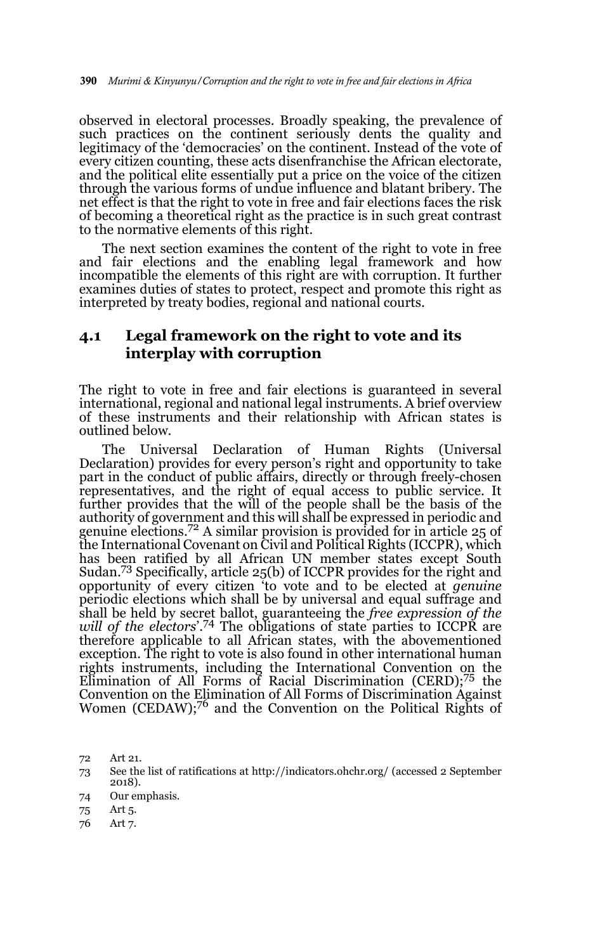observed in electoral processes. Broadly speaking, the prevalence of such practices on the continent seriously dents the quality and legitimacy of the 'democracies' on the continent. Instead of the vote of every citizen counting, these acts disenfranchise the African electorate, and the political elite essentially put a price on the voice of the citizen through the various forms of undue influence and blatant bribery. The net effect is that the right to vote in free and fair elections faces the risk of becoming a theoretical right as the practice is in such great contrast to the normative elements of this right.

The next section examines the content of the right to vote in free and fair elections and the enabling legal framework and how incompatible the elements of this right are with corruption. It further examines duties of states to protect, respect and promote this right as interpreted by treaty bodies, regional and national courts.

### **4.1 Legal framework on the right to vote and its interplay with corruption**

The right to vote in free and fair elections is guaranteed in several international, regional and national legal instruments. A brief overview of these instruments and their relationship with African states is outlined below.

The Universal Declaration of Human Rights (Universal Declaration) provides for every person's right and opportunity to take part in the conduct of public affairs, directly or through freely-chosen representatives, and the right of equal access to public service. It further provides that the will of the people shall be the basis of the authority of government and this will shall be expressed in periodic and genuine elections.72 A similar provision is provided for in article 25 of the International Covenant on Civil and Political Rights (ICCPR), which has been ratified by all African UN member states except South Sudan.73 Specifically, article 25(b) of ICCPR provides for the right and opportunity of every citizen 'to vote and to be elected at *genuine* periodic elections which shall be by universal and equal suffrage and shall be held by secret ballot, guaranteeing the *free expression of the* will of the electors<sup>'.74</sup> The obligations of state parties to ICCPR are therefore applicable to all African states, with the abovementioned exception. The right to vote is also found in other international human rights instruments, including the International Convention on the Elimination of All Forms of Racial Discrimination (CERD);75 the Convention on the Elimination of All Forms of Discrimination Against Women (CEDAW);76 and the Convention on the Political Rights of

76 Art 7.

<sup>72</sup> Art 21.

<sup>73</sup> See the list of ratifications at http://indicators.ohchr.org/ (accessed 2 September 2018).

<sup>74</sup> Our emphasis.

<sup>75</sup> Art 5.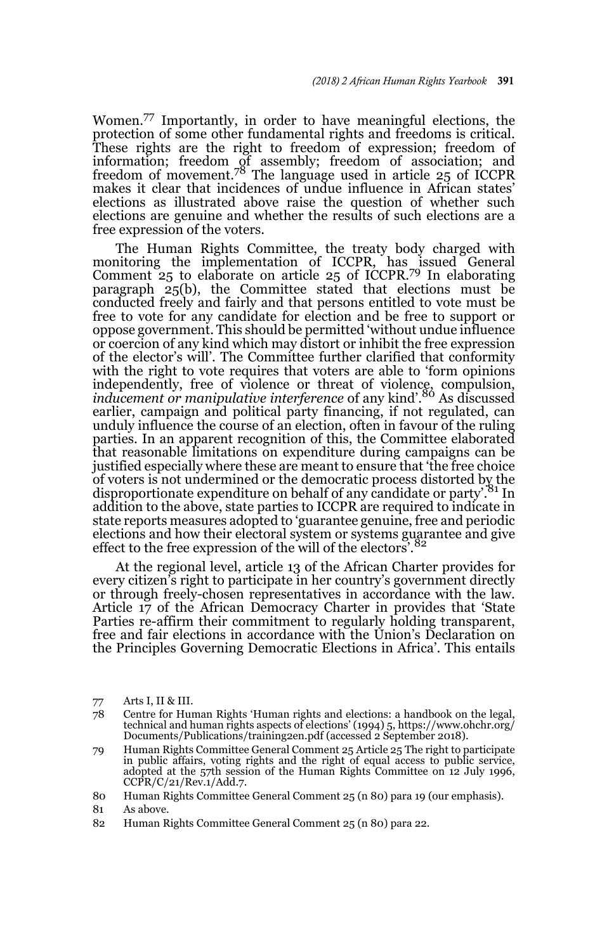Women.77 Importantly, in order to have meaningful elections, the protection of some other fundamental rights and freedoms is critical. These rights are the right to freedom of expression; freedom of information; freedom of assembly; freedom of association; and freedom of movement.<sup>78</sup> The language used in article 25 of ICCPR makes it clear that incidences of undue influence in African states' elections as illustrated above raise the question of whether such elections are genuine and whether the results of such elections are a free expression of the voters.

The Human Rights Committee, the treaty body charged with monitoring the implementation of ICCPR, has issued General Comment 25 to elaborate on article 25 of ICCPR.79 In elaborating paragraph 25(b), the Committee stated that elections must be conducted freely and fairly and that persons entitled to vote must be free to vote for any candidate for election and be free to support or oppose government. This should be permitted 'without undue influence or coercion of any kind which may distort or inhibit the free expression of the elector's will'. The Committee further clarified that conformity with the right to vote requires that voters are able to 'form opinions independently, free of violence or threat of violence, compulsion, *inducement or manipulative interference* of any kind'.<sup>80</sup> As discussed earlier, campaign and political party financing, if not regulated, can unduly influence the course of an election, often in favour of the ruling parties. In an apparent recognition of this, the Committee elaborated that reasonable limitations on expenditure during campaigns can be justified especially where these are meant to ensure that 'the free choice of voters is not undermined or the democratic process distorted by the disproportionate expenditure on behalf of any candidate or party.<sup>81</sup> In addition to the above, state parties to ICCPR are required to indicate in state reports measures adopted to 'guarantee genuine, free and periodic elections and how their electoral system or systems guarantee and give effect to the free expression of the will of the electors'.<sup>82</sup>

At the regional level, article 13 of the African Charter provides for every citizen's right to participate in her country's government directly or through freely-chosen representatives in accordance with the law. Article 17 of the African Democracy Charter in provides that 'State Parties re-affirm their commitment to regularly holding transparent, free and fair elections in accordance with the Union's Declaration on the Principles Governing Democratic Elections in Africa'. This entails

81 As above.

<sup>77</sup> Arts I, II & III.

<sup>78</sup> Centre for Human Rights 'Human rights and elections: a handbook on the legal, technical and human rights aspects of elections' (1994) 5, https://www.ohchr.org/ Documents/Publications/training2en.pdf (accessed 2 September 2018).

<sup>79</sup> Human Rights Committee General Comment 25 Article 25 The right to participate in public affairs, voting rights and the right of equal access to public service, adopted at the 57th session of the Human Rights Committee on 12 July 1996,  $CCPR/C/21/Rev.1/Add.7.$ 

<sup>80</sup> Human Rights Committee General Comment 25 (n 80) para 19 (our emphasis).

<sup>82</sup> Human Rights Committee General Comment 25 (n 80) para 22.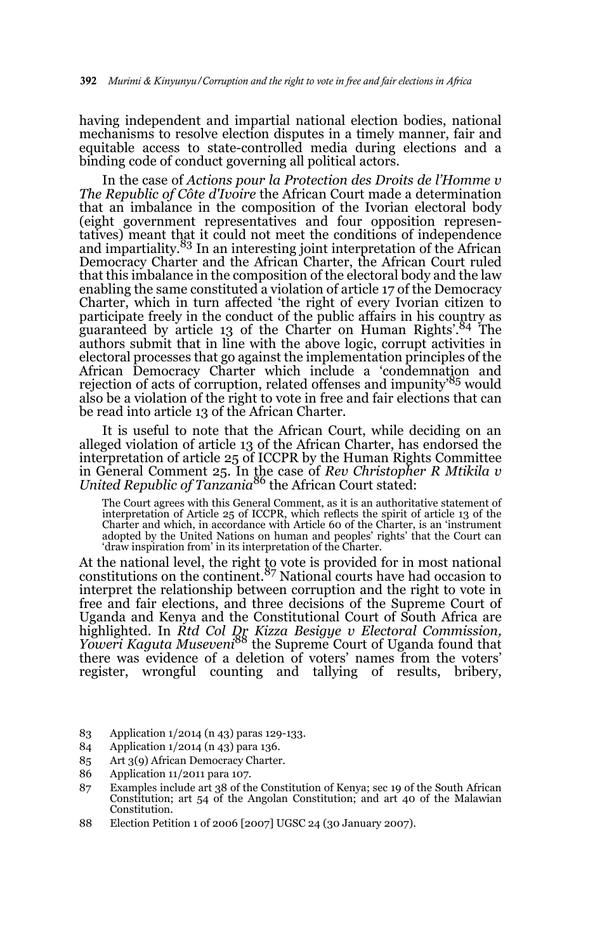having independent and impartial national election bodies, national mechanisms to resolve election disputes in a timely manner, fair and equitable access to state-controlled media during elections and a binding code of conduct governing all political actors.

In the case of *Actions pour la Protection des Droits de l'Homme v The Republic of Côte d'Ivoire* the African Court made a determination that an imbalance in the composition of the Ivorian electoral body (eight government representatives and four opposition representatives) meant that it could not meet the conditions of independence and impartiality.<sup>83</sup> In an interesting joint interpretation of the African Democracy Charter and the African Charter, the African Court ruled that this imbalance in the composition of the electoral body and the law enabling the same constituted a violation of article 17 of the Democracy Charter, which in turn affected 'the right of every Ivorian citizen to participate freely in the conduct of the public affairs in his country as guaranteed by article 13 of the Charter on Human Rights'.<sup>84</sup> The authors submit that in line with the above logic, corrupt activities in electoral processes that go against the implementation principles of the African Democracy Charter which include a 'condemnation and rejection of acts of corruption, related offenses and impunity'85 would also be a violation of the right to vote in free and fair elections that can be read into article 13 of the African Charter.

It is useful to note that the African Court, while deciding on an alleged violation of article 13 of the African Charter, has endorsed the interpretation of article 25 of ICCPR by the Human Rights Committee in General Comment 25. In the case of *Rev Christopher R Mtikila v United Republic of Tanzania*86 the African Court stated:

The Court agrees with this General Comment, as it is an authoritative statement of interpretation of Article 25 of ICCPR, which reflects the spirit of article 13 of the Charter and which, in accordance with Article 60 of the Charter, is an 'instrument adopted by the United Nations on human and peoples' rights' that the Court can 'draw inspiration from' in its interpretation of the Charter.

At the national level, the right to vote is provided for in most national constitutions on the continent.<sup>87</sup> National courts have had occasion to interpret the relationship between corruption and the right to vote in free and fair elections, and three decisions of the Supreme Court of Uganda and Kenya and the Constitutional Court of South Africa are highlighted. In *Rtd Col Dr Kizza Besigye v Electoral Commission, Yoweri Kaguta Museveni*88 the Supreme Court of Uganda found that there was evidence of a deletion of voters' names from the voters' register, wrongful counting and tallying of results, bribery,

- 83 Application 1/2014 (n 43) paras 129-133.
- 84 Application 1/2014 (n 43) para 136.
- 85 Art 3(9) African Democracy Charter.
- 86 Application 11/2011 para 107.
- 87 Examples include art 38 of the Constitution of Kenya; sec 19 of the South African Constitution; art 54 of the Angolan Constitution; and art 40 of the Malawian Constitution.
- 88 Election Petition 1 of 2006 [2007] UGSC 24 (30 January 2007).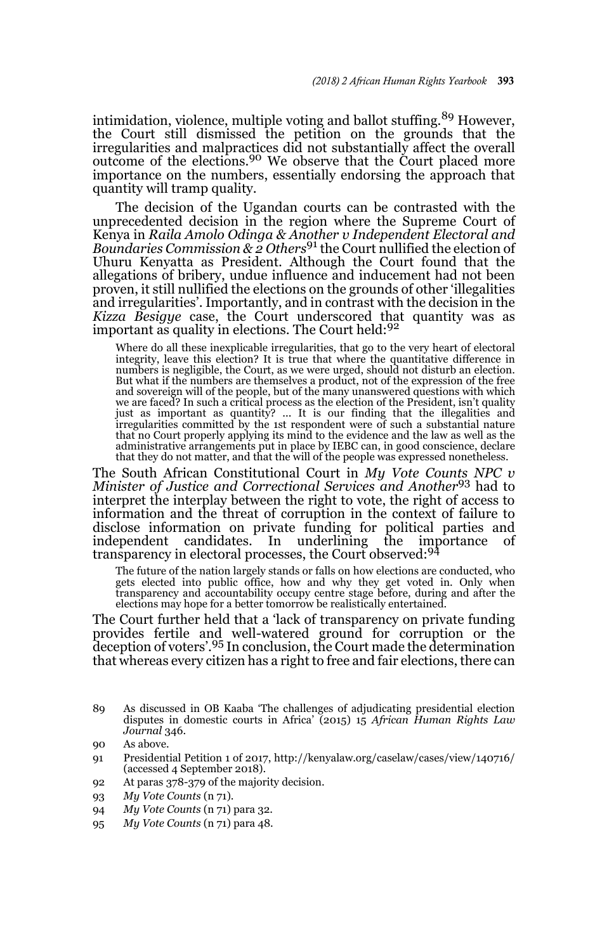intimidation, violence, multiple voting and ballot stuffing.<sup>89</sup> However, the Court still dismissed the petition on the grounds that the irregularities and malpractices did not substantially affect the overall outcome of the elections.90 We observe that the Court placed more importance on the numbers, essentially endorsing the approach that quantity will tramp quality.

The decision of the Ugandan courts can be contrasted with the unprecedented decision in the region where the Supreme Court of Kenya in *Raila Amolo Odinga & Another v Independent Electoral and Boundaries Commission & 2 Others*91 the Court nullified the election of Uhuru Kenyatta as President. Although the Court found that the allegations of bribery, undue influence and inducement had not been proven, it still nullified the elections on the grounds of other 'illegalities and irregularities'. Importantly, and in contrast with the decision in the *Kizza Besigye c*ase, the Court underscored that quantity was as<br>important as quality in elections. The Court held:<sup>92</sup>

Where do all these inexplicable irregularities, that go to the very heart of electoral integrity, leave this election? It is true that where the quantitative difference in numbers is negligible, the Court, as we were urged, should not disturb an election. But what if the numbers are themselves a product, not of the expression of the free and sovereign will of the people, but of the many unanswered questions with which we are faced? In such a critical process as the election of the President, isn't quality just as important as quantity? ... It is our finding that the illegalities and irregularities committed by the 1st respondent were of such a substantial nature that no Court properly applying its mind to the evidence and the law as well as the administrative arrangements put in place by IEBC can, in good conscience, declare that they do not matter, and that the will of the people was expressed nonetheless.

The South African Constitutional Court in *My Vote Counts NPC v Minister of Justice and Correctional Services and Another*93 had to interpret the interplay between the right to vote, the right of access to information and the threat of corruption in the context of failure to disclose information on private funding for political parties and independent candidates. In underlining the importance of<br>transparency in electoral processes, the Court observed:<sup>94</sup>

The future of the nation largely stands or falls on how elections are conducted, who<br>gets elected into public office, how and why they get voted in. Only when<br>transparency and accountability occupy centre stage before, dur elections may hope for a better tomorrow be realistically entertained.

The Court further held that a 'lack of transparency on private funding provides fertile and well-watered ground for corruption or the deception of voters'.95 In conclusion, the Court made the determination that whereas every citizen has a right to free and fair elections, there can

- 92 At paras 378-379 of the majority decision.
- 93 *My Vote Counts* (n 71).
- 94 *My Vote Counts* (n 71) para 32.
- 95 *My Vote Counts* (n 71) para 48.

<sup>89</sup> As discussed in OB Kaaba 'The challenges of adjudicating presidential election disputes in domestic courts in Africa' (2015) 15 *African Human Rights Law Journal* 346.

<sup>90</sup> As above.

<sup>91</sup> Presidential Petition 1 of 2017, http://kenyalaw.org/caselaw/cases/view/140716/ (accessed 4 September 2018).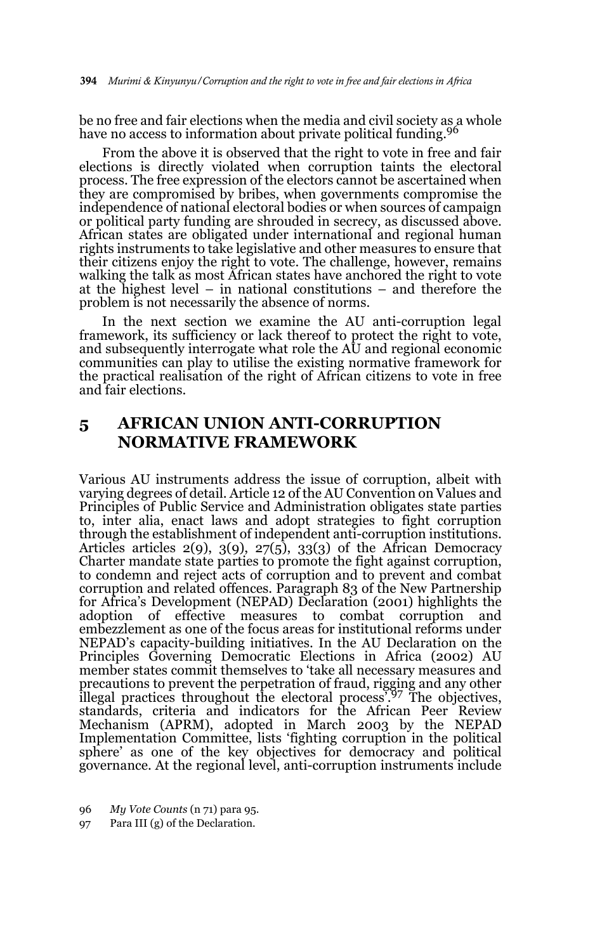be no free and fair elections when the media and civil society as a whole have no access to information about private political funding.<sup>96</sup>

From the above it is observed that the right to vote in free and fair elections is directly violated when corruption taints the electoral process. The free expression of the electors cannot be ascertained when they are compromised by bribes, when governments compromise the independence of national electoral bodies or when sources of campaign or political party funding are shrouded in secrecy, as discussed above. African states are obligated under international and regional human rights instruments to take legislative and other measures to ensure that their citizens enjoy the right to vote. The challenge, however, remains walking the talk as most African states have anchored the right to vote at the highest level – in national constitutions – and therefore the problem is not necessarily the absence of norms.

In the next section we examine the AU anti-corruption legal framework, its sufficiency or lack thereof to protect the right to vote, and subsequently interrogate what role the AU and regional economic communities can play to utilise the existing normative framework for the practical realisation of the right of African citizens to vote in free and fair elections.

# **5 AFRICAN UNION ANTI-CORRUPTION NORMATIVE FRAMEWORK**

Various AU instruments address the issue of corruption, albeit with varying degrees of detail. Article 12 of the AU Convention on Values and Principles of Public Service and Administration obligates state parties to, inter alia, enact laws and adopt strategies to fight corruption through the establishment of independent anti-corruption institutions. Articles articles  $2(9)$ ,  $3(9)$ ,  $27(5)$ ,  $33(3)$  of the African Democracy Charter mandate state parties to promote the fight against corruption, to condemn and reject acts of corruption and to prevent and combat corruption and related offences. Paragraph 83 of the New Partnership for Africa's Development (NEPAD) Declaration (2001) highlights the adoption of effective measures to combat corruption and of effective measures to combat corruption embezzlement as one of the focus areas for institutional reforms under NEPAD's capacity-building initiatives. In the AU Declaration on the Principles Governing Democratic Elections in Africa (2002) AU member states commit themselves to 'take all necessary measures and precautions to prevent the perpetration of fraud, rigging and any other illegal practices throughout the electoral process'.97 The objectives, standards, criteria and indicators for the African Peer Review Mechanism (APRM), adopted in March 2003 by the NEPAD Implementation Committee, lists 'fighting corruption in the political sphere' as one of the key objectives for democracy and political governance. At the regional level, anti-corruption instruments include

96 *My Vote Counts* (n 71) para 95.

97 Para III (g) of the Declaration.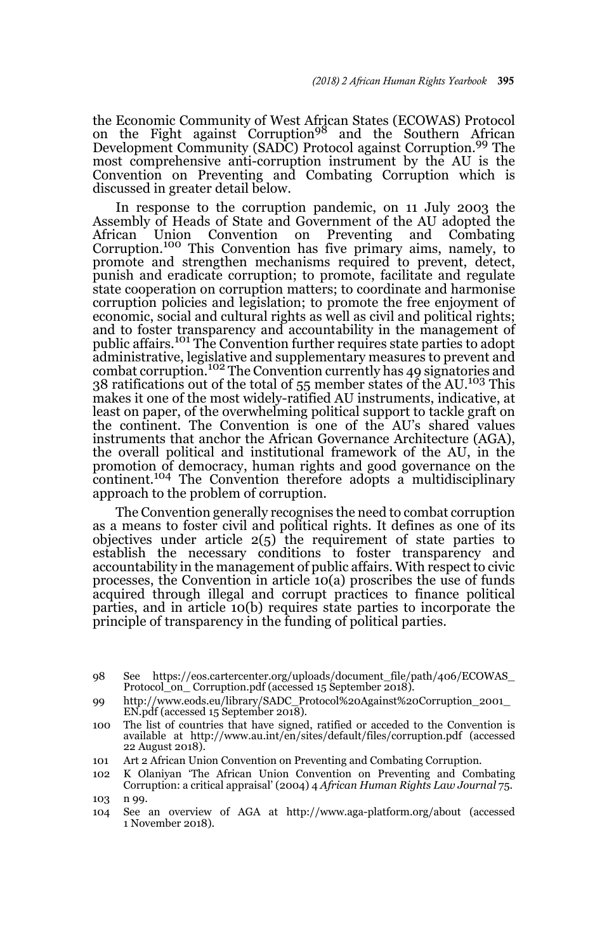the Economic Community of West African States (ECOWAS) Protocol<br>on the Fight against Corruption<sup>98</sup> and the Southern African Development Community (SADC) Protocol against Corruption.99 The most comprehensive anti-corruption instrument by the AU is the Convention on Preventing and Combating Corruption which is discussed in greater detail below.

In response to the corruption pandemic, on 11 July 2003 the Assembly of Heads of State and Government of the AU adopted the African Union Convention on Preventing and Combating Corruption.100 This Convention has five primary aims, namely, to promote and strengthen mechanisms required to prevent, detect, punish and eradicate corruption; to promote, facilitate and regulate state cooperation on corruption matters; to coordinate and harmonise corruption policies and legislation; to promote the free enjoyment of economic, social and cultural rights as well as civil and political rights; and to foster transparency and accountability in the management of public affairs.101 The Convention further requires state parties to adopt administrative, legislative and supplementary measures to prevent and combat corruption.102 The Convention currently has 49 signatories and 38 ratifications out of the total of 55 member states of the AU.<sup>103</sup> This makes it one of the most widely-ratified AU instruments, indicative, at least on paper, of the overwhelming political support to tackle graft on the continent. The Convention is one of the AU's shared values instruments that anchor the African Governance Architecture (AGA), the overall political and institutional framework of the AU, in the promotion of democracy, human rights and good governance on the continent.<sup>104</sup> The Convention therefore adopts a multidisciplinary approach to the problem of corruption.

The Convention generally recognises the need to combat corruption as a means to foster civil and political rights. It defines as one of its objectives under article  $2(5)$  the requirement of state parties to establish the necessary conditions to foster transparency and accountability in the management of public affairs. With respect to civic processes, the Convention in article 10(a) proscribes the use of funds acquired through illegal and corrupt practices to finance political parties, and in article 10(b) requires state parties to incorporate the principle of transparency in the funding of political parties.

<sup>98</sup> See https://eos.cartercenter.org/uploads/document\_file/path/406/ECOWAS\_ Protocol on Corruption.pdf (accessed 15 September 2018).

<sup>99</sup> http://www.eods.eu/library/SADC\_Protocol%20Against%20Corruption\_2001\_  $EN.pdf$  (accessed 15 September 2018).

<sup>100</sup> The list of countries that have signed, ratified or acceded to the Convention is available at http://www.au.int/en/sites/default/files/corruption.pdf (accessed 22 August 2018).

<sup>101</sup> Art 2 African Union Convention on Preventing and Combating Corruption.

<sup>102</sup> K Olaniyan 'The African Union Convention on Preventing and Combating Corruption: a critical appraisal' (2004) 4 *African Human Rights Law Journal* 75.

<sup>103</sup> n 99.

<sup>104</sup> See an overview of AGA at http://www.aga-platform.org/about (accessed 1 November 2018).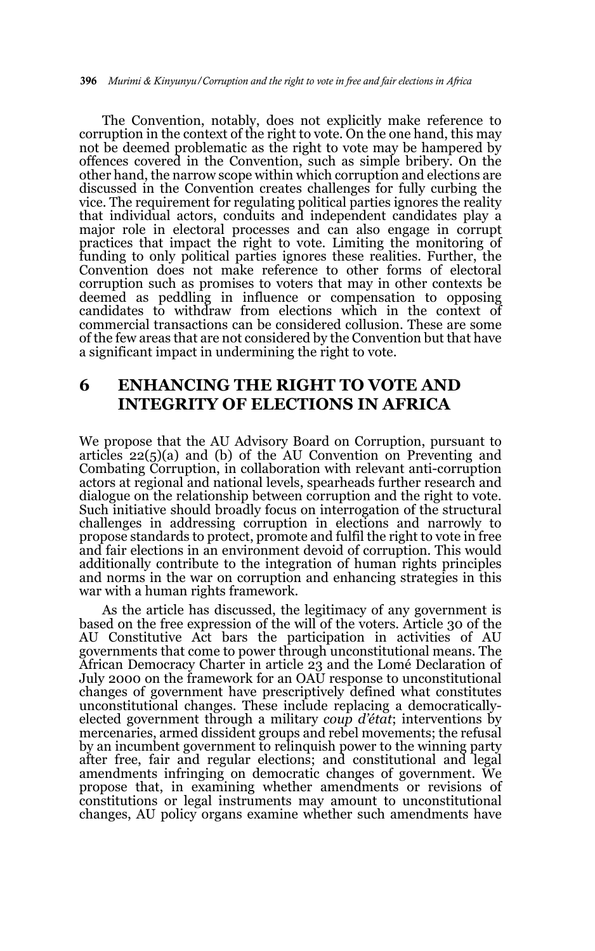The Convention, notably, does not explicitly make reference to corruption in the context of the right to vote. On the one hand, this may not be deemed problematic as the right to vote may be hampered by offences covered in the Convention, such as simple bribery. On the other hand, the narrow scope within which corruption and elections are discussed in the Convention creates challenges for fully curbing the vice. The requirement for regulating political parties ignores the reality that individual actors, conduits and independent candidates play a major role in electoral processes and can also engage in corrupt practices that impact the right to vote. Limiting the monitoring of funding to only political parties ignores these realities. Further, the Convention does not make reference to other forms of electoral corruption such as promises to voters that may in other contexts be deemed as peddling in influence or compensation to opposing candidates to withdraw from elections which in the context of commercial transactions can be considered collusion. These are some of the few areas that are not considered by the Convention but that have a significant impact in undermining the right to vote.

# **6 ENHANCING THE RIGHT TO VOTE AND INTEGRITY OF ELECTIONS IN AFRICA**

We propose that the AU Advisory Board on Corruption, pursuant to articles 22(5)(a) and (b) of the AU Convention on Preventing and Combating Corruption, in collaboration with relevant anti-corruption actors at regional and national levels, spearheads further research and dialogue on the relationship between corruption and the right to vote. Such initiative should broadly focus on interrogation of the structural challenges in addressing corruption in elections and narrowly to propose standards to protect, promote and fulfil the right to vote in free and fair elections in an environment devoid of corruption. This would additionally contribute to the integration of human rights principles and norms in the war on corruption and enhancing strategies in this war with a human rights framework.

As the article has discussed, the legitimacy of any government is based on the free expression of the will of the voters. Article 30 of the AU Constitutive Act bars the participation in activities of AU governments that come to power through unconstitutional means. The African Democracy Charter in article 23 and the Lomé Declaration of July 2000 on the framework for an OAU response to unconstitutional changes of government have prescriptively defined what constitutes unconstitutional changes. These include replacing a democraticallyelected government through a military *coup d'état*; interventions by mercenaries, armed dissident groups and rebel movements; the refusal by an incumbent government to relinquish power to the winning party after free, fair and regular elections; and constitutional and legal amendments infringing on democratic changes of government. We propose that, in examining whether amendments or revisions of constitutions or legal instruments may amount to unconstitutional changes, AU policy organs examine whether such amendments have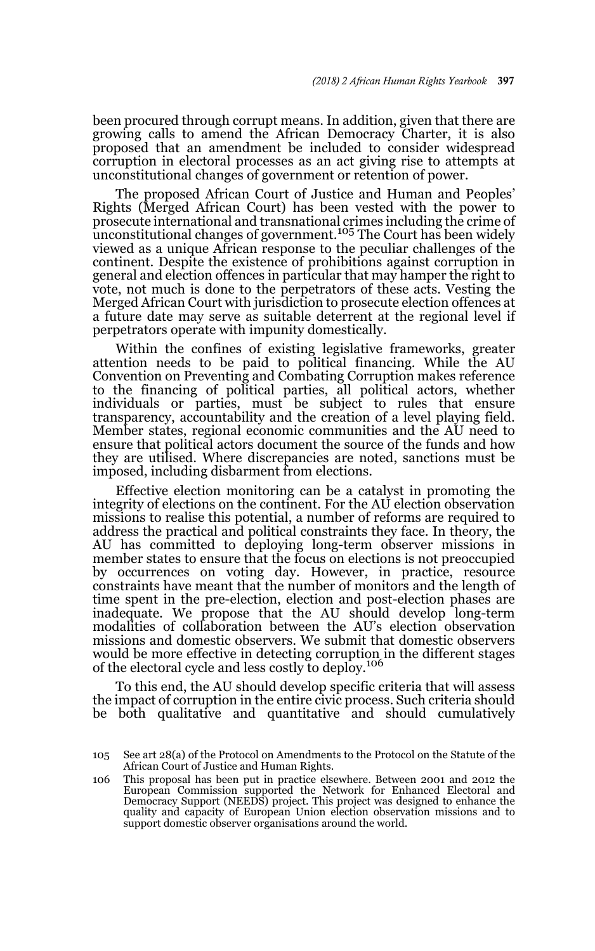been procured through corrupt means. In addition, given that there are growing calls to amend the African Democracy Charter, it is also proposed that an amendment be included to consider widespread corruption in electoral processes as an act giving rise to attempts at unconstitutional changes of government or retention of power.

The proposed African Court of Justice and Human and Peoples' Rights (Merged African Court) has been vested with the power to prosecute international and transnational crimes including the crime of prosecute international and changes of government.<sup>105</sup> The Court has been widely viewed as a unique African response to the peculiar challenges of the continent. Despite the existence of prohibitions against corruption in general and election offences in particular that may hamper the right to vote, not much is done to the perpetrators of these acts. Vesting the Merged African Court with jurisdiction to prosecute election offences at a future date may serve as suitable deterrent at the regional level if perpetrators operate with impunity domestically.

Within the confines of existing legislative frameworks, greater attention needs to be paid to political financing. While the AU Convention on Preventing and Combating Corruption makes reference to the financing of political parties, all political actors, whether individuals or parties, must be subject to rules that ensure transparency, accountability and the creation of a level playing field. Member states, regional economic communities and the AU need to ensure that political actors document the source of the funds and how they are utilised. Where discrepancies are noted, sanctions must be imposed, including disbarment from elections.

Effective election monitoring can be a catalyst in promoting the integrity of elections on the continent. For the AU election observation missions to realise this potential, a number of reforms are required to address the practical and political constraints they face. In theory, the AU has committed to deploying long-term observer missions in member states to ensure that the focus on elections is not preoccupied by occurrences on voting day. However, in practice, resource constraints have meant that the number of monitors and the length of time spent in the pre-election, election and post-election phases are inadequate. We propose that the AU should develop long-term modalities of collaboration between the AU's election observation missions and domestic observers. We submit that domestic observers would be more effective in detecting corruption in the different stages of the electoral cycle and less costly to deploy.<sup>106</sup>

To this end, the AU should develop specific criteria that will assess the impact of corruption in the entire civic process. Such criteria should be both qualitative and quantitative and should cumulatively

106 This proposal has been put in practice elsewhere. Between 2001 and 2012 the European Commission supported the Network for Enhanced Electoral and Democracy Support (NEEDS) project. This project was designed to enhance the quality and capacity of European Union election observation missions and to support domestic observer organisations around the world.

<sup>105</sup> See art 28(a) of the Protocol on Amendments to the Protocol on the Statute of the African Court of Justice and Human Rights.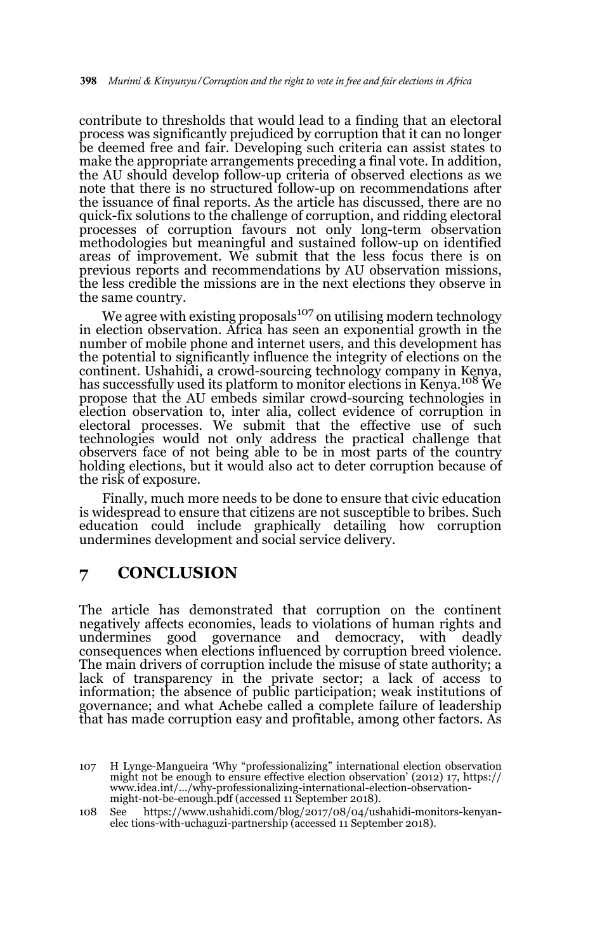contribute to thresholds that would lead to a finding that an electoral process was significantly prejudiced by corruption that it can no longer be deemed free and fair. Developing such criteria can assist states to make the appropriate arrangements preceding a final vote. In addition, the AU should develop follow-up criteria of observed elections as we note that there is no structured follow-up on recommendations after the issuance of final reports. As the article has discussed, there are no quick-fix solutions to the challenge of corruption, and ridding electoral processes of corruption favours not only long-term observation methodologies but meaningful and sustained follow-up on identified areas of improvement. We submit that the less focus there is on previous reports and recommendations by AU observation missions, the less credible the missions are in the next elections they observe in the same country.

We agree with existing proposals $107$  on utilising modern technology in election observation. Africa has seen an exponential growth in the number of mobile phone and internet users, and this development has the potential to significantly influence the integrity of elections on the continent. Ushahidi, a crowd-sourcing technology company in Kenya, has successfully used its platform to monitor elections in Kenya.<sup>108</sup> We propose that the AU embeds similar crowd-sourcing technologies in election observation to, inter alia, collect evidence of corruption in electoral processes. We submit that the effective use of such technologies would not only address the practical challenge that observers face of not being able to be in most parts of the country holding elections, but it would also act to deter corruption because of the risk of exposure.

Finally, much more needs to be done to ensure that civic education is widespread to ensure that citizens are not susceptible to bribes. Such education could include graphically detailing how corruption undermines development and social service delivery.

### **7 CONCLUSION**

The article has demonstrated that corruption on the continent negatively affects economies, leads to violations of human rights and undermines good governance and democracy, with deadly undermines good governance and democracy, with deadly consequences when elections influenced by corruption breed violence. The main drivers of corruption include the misuse of state authority; a lack of transparency in the private sector; a lack of access to information; the absence of public participation; weak institutions of governance; and what Achebe called a complete failure of leadership that has made corruption easy and profitable, among other factors. As

<sup>107</sup> H Lynge-Mangueira 'Why "professionalizing" international election observation might not be enough to ensure effective election observation' (2012) 17, https:// www.idea.int/.../why-professionalizing-international-election-observationmight-not-be-enough.pdf (accessed 11 September 2018).

<sup>108</sup> See https://www.ushahidi.com/blog/2017/08/04/ushahidi-monitors-kenyanelec tions-with-uchaguzi-partnership (accessed 11 September 2018).